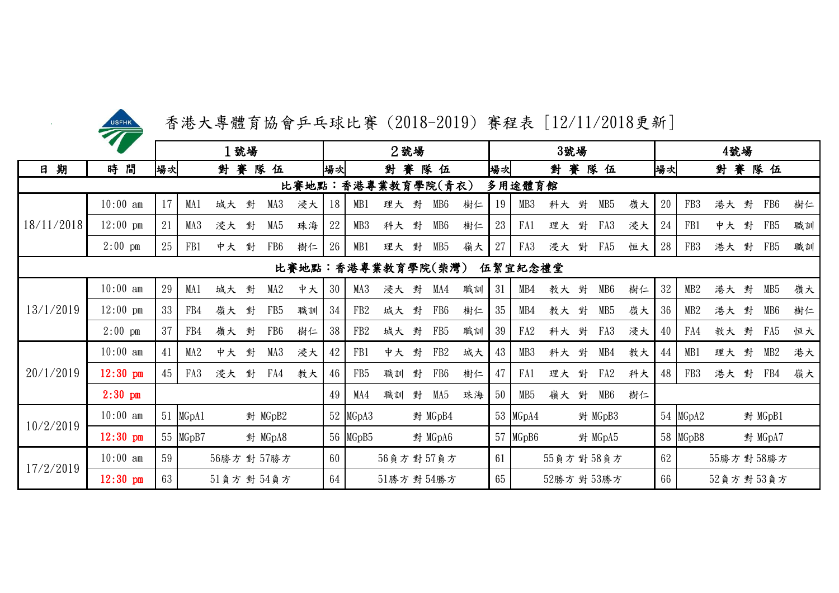| <b>USFHK</b> |  |
|--------------|--|
|              |  |

香港大專體育協會乒乓球比賽 (2018-2019) 賽程表 [12/11/2018更新]

|            | $\bullet$          | 1號場 |       |             |   |                 |                   |    |                 | 2號場        |   | 3號場             |    |    |                 |             |   |                 | 4號場 |    |                    |    |   |                 |    |
|------------|--------------------|-----|-------|-------------|---|-----------------|-------------------|----|-----------------|------------|---|-----------------|----|----|-----------------|-------------|---|-----------------|-----|----|--------------------|----|---|-----------------|----|
| 期<br>日     | 時間                 | 場次  |       | 對賽          |   | 隊<br>伍          |                   | 場次 |                 |            |   | 對賽隊伍            |    | 場次 |                 | 對賽          |   | 隊伍              |     | 場次 |                    | 對賽 |   | 隊伍              |    |
|            |                    |     |       |             |   |                 | 比賽地點:             |    | 香港專業教育學院(青衣)    |            |   |                 |    |    | 多用途體育館          |             |   |                 |     |    |                    |    |   |                 |    |
|            | $10:00$ am         | 17  | MA1   | 城大          | 對 | MA3             | 浸大                | 18 | MB1             | 理大 對       |   | MB6             | 樹仁 | 19 | MB <sub>3</sub> | 科大 對        |   | MB <sub>5</sub> | 嶺大  | 20 | FB <sub>3</sub>    | 港大 | 對 | FB6             | 樹仁 |
| 18/11/2018 | $12:00$ pm         | 21  | MA3   | 浸大          | 對 | MA5             | 珠海                | 22 | MB3             | 科大 對       |   | MB6             | 樹仁 | 23 | FA1             | 理大 對        |   | FA3             | 浸大  | 24 | FB1                | 中大 | 對 | FB <sub>5</sub> | 職訓 |
|            | $2:00$ pm          | 25  | FB1   | 中大          | 對 | FB <sub>6</sub> | 樹仁                | 26 | MB1             | 理大 對       |   | MB <sub>5</sub> | 嶺大 | 27 | FA3             | 浸大          | 對 | FA5             | 恒大  | 28 | FB <sub>3</sub>    | 港大 | 對 | FB5             | 職訓 |
|            |                    |     |       |             |   |                 | 比賽地點:香港專業教育學院(柴灣) |    |                 |            |   |                 |    |    | 伍絜宜紀念禮堂         |             |   |                 |     |    |                    |    |   |                 |    |
|            | $10:00$ am         | 29  | MA1   | 城大          | 對 | MA2             | 中大                | 30 | MA3             | 浸大 對       |   | MA4             | 職訓 | 31 | MB4             | 教大 對        |   | MB6             | 樹仁  | 32 | MB2                | 港大 | 對 | MB <sub>5</sub> | 嶺大 |
| 13/1/2019  | $12:00 \text{ pm}$ | 33  | FB4   | 嶺大          | 對 | FB5             | 職訓                | 34 | FB <sub>2</sub> | 城大 對       |   | FB <sub>6</sub> | 樹仁 | 35 | MB4             | 教大 對        |   | MB5             | 嶺大  | 36 | MB2                | 港大 | 對 | MB6             | 樹仁 |
|            | $2:00$ pm          | 37  | FB4   | 嶺大          | 對 | FB6             | 樹仁                | 38 | FB <sub>2</sub> | 城大 對       |   | FB5             | 職訓 | 39 | FA <sub>2</sub> | 科大          | 對 | FA3             | 浸大  | 40 | FA4                | 教大 | 對 | FA5             | 恒大 |
|            | $10:00$ am         | 41  | MA2   | 中大          | 對 | MA3             | 浸大                | 42 | FB1             | 中大 對       |   | FB <sub>2</sub> | 城大 | 43 | MB <sub>3</sub> | 科大 對        |   | MB4             | 教大  | 44 | MB1                | 理大 | 對 | MB2             | 港大 |
| 20/1/2019  | $12:30$ pm         | 45  | FA3   | 浸大          | 對 | FA4             | 教大                | 46 | FB <sub>5</sub> | 職訓         | 對 | FB <sub>6</sub> | 樹仁 | 47 | FA1             | 理大          | 對 | FA <sub>2</sub> | 科大  | 48 | FB <sub>3</sub>    | 港大 | 對 | FB4             | 嶺大 |
|            | $2:30$ pm          |     |       |             |   |                 |                   | 49 | MA4             | 職訓         | 對 | MA5             | 珠海 | 50 | MB <sub>5</sub> | 嶺大          | 對 | MB <sub>6</sub> | 樹仁  |    |                    |    |   |                 |    |
| 10/2/2019  | $10:00$ am         | 51  | MGpA1 |             |   | 對 MGpB2         |                   |    | 52 MGpA3        |            |   | 對 MGpB4         |    |    | 53 MGpA4        |             |   | 對 MGpB3         |     | 54 | MGpA2              |    |   | 對 MGpB1         |    |
|            | $12:30$ pm         | 55  | MGpB7 |             |   | 對 MGpA8         |                   |    | 56 MGpB5        |            |   | 對 MGpA6         |    |    | 57 MGpB6        |             |   | 對 MGpA5         |     | 58 | MG <sub>p</sub> B8 |    |   | 對 MGpA7         |    |
| 17/2/2019  | $10:00$ am         | 59  |       | 56勝方 對 57勝方 |   |                 |                   | 60 |                 | 56負方對 57負方 |   |                 |    | 61 |                 | 55負方對58負方   |   |                 |     | 62 |                    |    |   | 55勝方對58勝方       |    |
|            | $12:30$ pm         | 63  |       | 51負方對 54負方  |   |                 |                   | 64 |                 | 51勝方對 54勝方 |   |                 |    | 65 |                 | 52勝方 對 53勝方 |   |                 |     | 66 |                    |    |   | 52負方對53負方       |    |